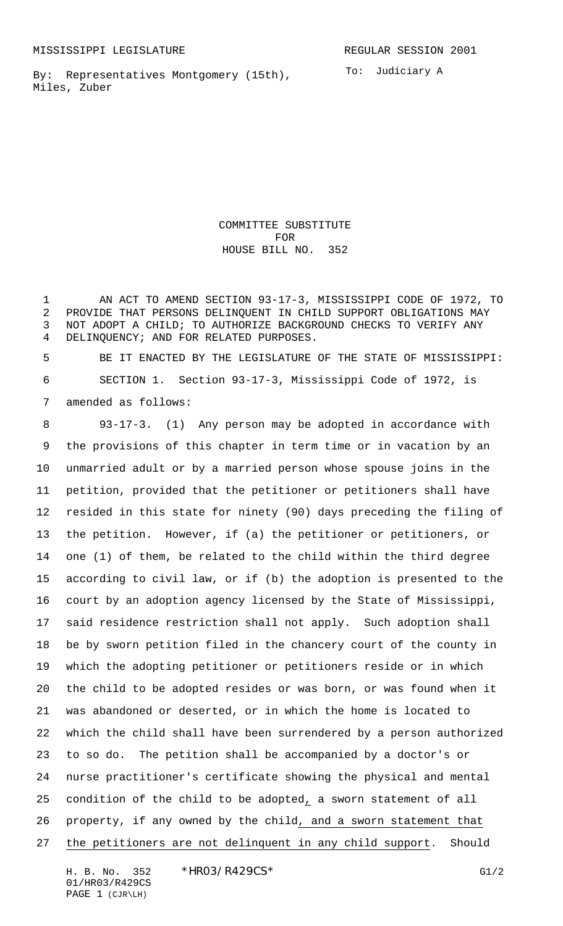MISSISSIPPI LEGISLATURE **REGULAR SESSION 2001** 

By: Representatives Montgomery (15th), Miles, Zuber

To: Judiciary A

COMMITTEE SUBSTITUTE FOR HOUSE BILL NO. 352

 AN ACT TO AMEND SECTION 93-17-3, MISSISSIPPI CODE OF 1972, TO PROVIDE THAT PERSONS DELINQUENT IN CHILD SUPPORT OBLIGATIONS MAY NOT ADOPT A CHILD; TO AUTHORIZE BACKGROUND CHECKS TO VERIFY ANY DELINQUENCY; AND FOR RELATED PURPOSES.

 BE IT ENACTED BY THE LEGISLATURE OF THE STATE OF MISSISSIPPI: SECTION 1. Section 93-17-3, Mississippi Code of 1972, is amended as follows:

 93-17-3. (1) Any person may be adopted in accordance with the provisions of this chapter in term time or in vacation by an unmarried adult or by a married person whose spouse joins in the petition, provided that the petitioner or petitioners shall have resided in this state for ninety (90) days preceding the filing of the petition. However, if (a) the petitioner or petitioners, or one (1) of them, be related to the child within the third degree according to civil law, or if (b) the adoption is presented to the court by an adoption agency licensed by the State of Mississippi, said residence restriction shall not apply. Such adoption shall be by sworn petition filed in the chancery court of the county in which the adopting petitioner or petitioners reside or in which the child to be adopted resides or was born, or was found when it was abandoned or deserted, or in which the home is located to which the child shall have been surrendered by a person authorized to so do. The petition shall be accompanied by a doctor's or nurse practitioner's certificate showing the physical and mental condition of the child to be adopted, a sworn statement of all property, if any owned by the child, and a sworn statement that the petitioners are not delinquent in any child support. Should

H. B. No. 352 \*HRO3/R429CS\* G1/2 01/HR03/R429CS PAGE 1 (CJR\LH)